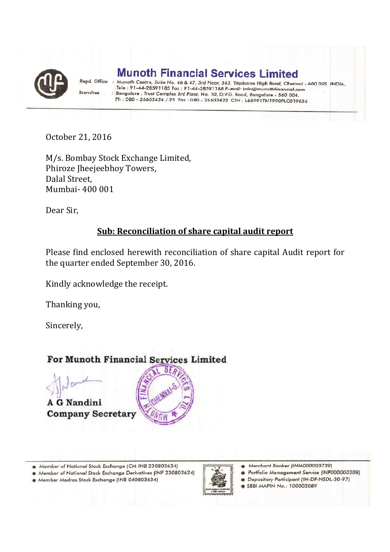

**Munoth Financial Services Limited** 

Regd. Office Munoth Centre, Suite No. 46 & 47, 3rd Floor, 343, Triplicane High Road, Chennoi - 600 005. INDIA. Tele: 91-44-28591185 Fax: 91-44-28591188 E-mail: info@munothfinancial.com Branches Bangalore : Trust Complex 3rd Floar, No. 10, D.V.G. Road, Bangalore - 560 004. Ph: 080 - 26603424 / 25 Fax: 080 - 26603423 CIN: L65991TN1990PLC019836

October 21, 2016

M/s. Bombay Stock Exchange Limited, Phiroze Jheejeebhoy Towers, Dalal Street, Mumbai- 400 001

Dear Sir,

### **Sub: Reconciliation of share capital audit report**

Please find enclosed herewith reconciliation of share capital Audit report for the quarter ended September 30, 2016.

Kindly acknowledge the receipt.

Thanking you,

Sincerely,

## For Munoth Financial Services Limited

A G Nandini **Company Secretary** 



Member of National Stock Exchange (CM INB 230803634)

Member of National Stock Exchange Derivatives (INF 230803634)

· Member Madras Stock Exchange (INB 040803634)



Merchant Banker (INM000003739)  $\bullet$ 

- · Portfolio Management Service (INP000000308)
- · Depository Participant (IN-DP-NSDL-30-97)
- SEBI MAPIN No.: 100002089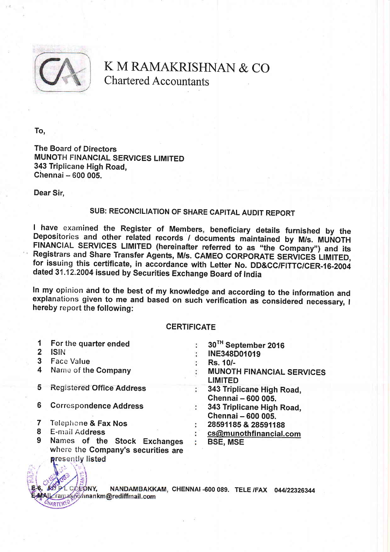

K M RAMAKRISHNAN & CO Chartered Accountants

To,

The Board of Directors MUNOTH FINANCIAL SERVICES LIMITED 343 Triplicane High Road, Chennai - 600 005.

Dear Sir.

### SUB: RECONCILIATION OF SHARE CAPITAL AUDIT REPORT

I have examined the Register of Members, beneficiary details furnished by the Depositories and other related records / documents maintained by M/s. MUNOTH FINANCIAL SERVICES LIMITED (hereinafter referred to as "the Company dated 31.12.2004 issued by Securities Exchange Board of India

In my opinion and to the best of my knowledge and according to the information and<br>explanations given to me and based on such verification as considered necessary, I In my opinion and to the best of my knowledge and according to the information and hereby report the following:

#### **CERTIFICATE**

| 1 | For the quarter ended                                              | 30TH September 2016                                |
|---|--------------------------------------------------------------------|----------------------------------------------------|
|   | <b>ISIN</b>                                                        | INE348D01019                                       |
| 3 | <b>Face Value</b>                                                  | Rs. 10/-                                           |
| 4 | Name of the Company                                                | <b>MUNOTH FINANCIAL SERVICES</b><br><b>LIMITED</b> |
| 5 | <b>Registered Office Address</b>                                   | 343 Triplicane High Road,<br>Chennai - 600 005.    |
| 6 | <b>Correspondence Address</b>                                      | 343 Triplicane High Road,<br>Chennai - 600 005.    |
|   | Telephone & Fax Nos                                                | 28591185 & 28591188                                |
| 8 | E-mail Address                                                     | cs@munothfinancial.com                             |
| 9 | Names of the Stock Exchanges<br>where the Company's securities are | <b>BSE, MSE</b>                                    |

L COFONY. NANDAMBAKKAM, CHENNAI -600 089. TELE /FAX 044/22326344 .ramak@shnankm@rediffmail.com CHARTERED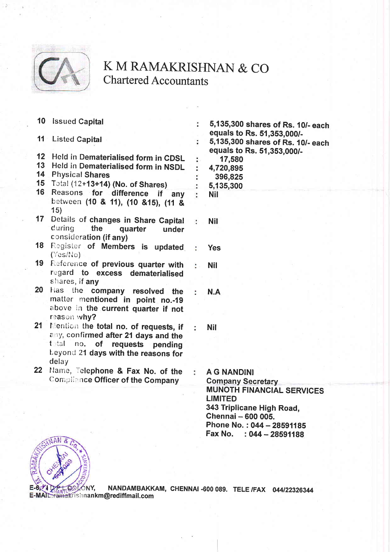

# K M RAMAKRISHNAN & CO **Chartered Accountants**

÷

- 10 Issued Capital
- 11 Listed Capital
- 12 Held in Dematerialised form in CDSL
- 13 Held in Dematerialised form in NSDL
- 14 Physical Shares
- 15 Total (12+13+14) (No. of Shares)
- 16 Reasons for difference if any between (10 & 11), (10 & 15), (11 &  $15)$
- 17 Details of changes in Share Capital during the quarter under consideration (if any)
- 18 Register of Members is updated ÷ (Yes/No)
- 19 Reference of previous quarter with regard to excess dematerialised shares, if any
- 20 Has the company resolved the matter mentioned in point no.-19 above in the current quarter if not reason why?
- 21 Mention the total no. of requests, if any, confirmed after 21 days and the total no. of requests pending Leyond 21 days with the reasons for delay
- 22 Name, Telephone & Fax No. of the **Compliance Officer of the Company**

5.135.300 shares of Rs. 10/- each equals to Rs. 51,353,000/-5,135,300 shares of Rs. 10/- each equals to Rs. 51,353,000/-17,580 4,720,895 396,825 5,135,300 **Nil** 

**Nil** 

÷

Ŀ.

ð.

÷

÷.

- **Yes**
- **Nil**

 $N.A$ 

**Nil** 

**A G NANDINI Company Secretary MUNOTH FINANCIAL SERVICES LIMITED** 343 Triplicane High Road. Chennai - 600 005. Phone No.: 044 - 28591185 Fax No. : 044 - 28591188



NANDAMBAKKAM, CHENNAI-600 089. TELE /FAX 044/22326344 ONY. E-MAIL: ramakrishnankm@rediffmail.com